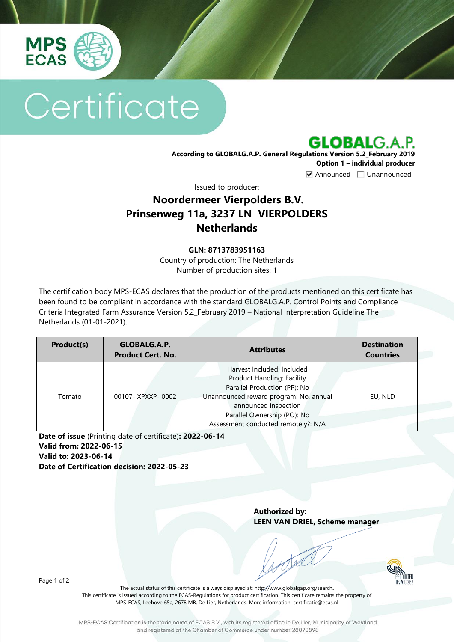

# Certificate

**GLOBALG.A.P.** 

**According to GLOBALG.A.P. General Regulations Version 5.2\_February 2019 Option 1 – individual producer**  $\nabla$  Announced  $\nabla$  Unannounced

Issued to producer:

## **Noordermeer Vierpolders B.V. Prinsenweg 11a, 3237 LN VIERPOLDERS Netherlands**

#### **GLN: 8713783951163**

Country of production: The Netherlands Number of production sites: 1

The certification body MPS-ECAS declares that the production of the products mentioned on this certificate has been found to be compliant in accordance with the standard GLOBALG.A.P. Control Points and Compliance Criteria Integrated Farm Assurance Version 5.2\_February 2019 – National Interpretation Guideline The Netherlands (01-01-2021).

| Product(s) | GLOBALG.A.P.<br><b>Product Cert. No.</b> | <b>Attributes</b>                                                                                                                                                                                                                       | <b>Destination</b><br><b>Countries</b> |
|------------|------------------------------------------|-----------------------------------------------------------------------------------------------------------------------------------------------------------------------------------------------------------------------------------------|----------------------------------------|
| Tomato     | 00107-XPXXP-0002                         | Harvest Included: Included<br><b>Product Handling: Facility</b><br>Parallel Production (PP): No<br>Unannounced reward program: No, annual<br>announced inspection<br>Parallel Ownership (PO): No<br>Assessment conducted remotely?: N/A | EU, NLD                                |

**Date of issue** (Printing date of certificate)**: 2022-06-14 Valid from: 2022-06-15 Valid to: 2023-06-14 Date of Certification decision: 2022-05-23**

> **Authorized by: LEEN VAN DRIEL, Scheme manager**

> > $Rv\Delta$   $\Gamma$   $21$

Page 1 of 2

The actual status of this certificate is always displayed at: <http://www.globalgap.org/search>**.**  This certificate is issued according to the ECAS-Regulations for product certification. This certificate remains the property of MPS-ECAS, Leehove 65a, 2678 MB, De Lier, Netherlands. More information[: certificatie@ecas.nl](mailto:certificatie@ecas.nl)